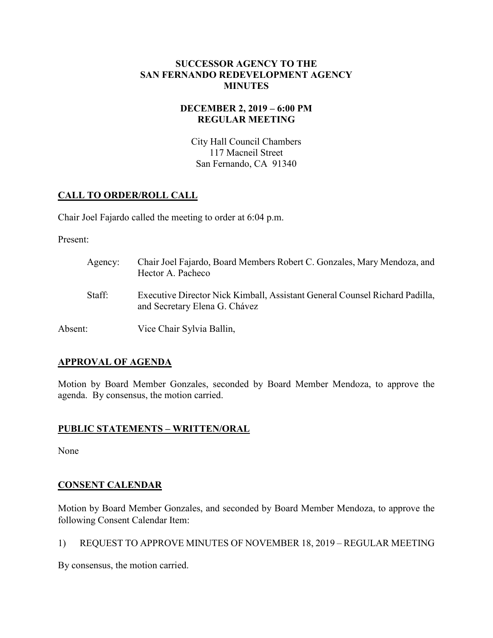#### **SUCCESSOR AGENCY TO THE SAN FERNANDO REDEVELOPMENT AGENCY MINUTES**

## **DECEMBER 2, 2019 – 6:00 PM REGULAR MEETING**

City Hall Council Chambers 117 Macneil Street San Fernando, CA 91340

## **CALL TO ORDER/ROLL CALL**

Chair Joel Fajardo called the meeting to order at 6:04 p.m.

Present:

| Agency: | Chair Joel Fajardo, Board Members Robert C. Gonzales, Mary Mendoza, and<br>Hector A. Pacheco                 |
|---------|--------------------------------------------------------------------------------------------------------------|
| Staff:  | Executive Director Nick Kimball, Assistant General Counsel Richard Padilla,<br>and Secretary Elena G. Chávez |
| Absent: | Vice Chair Sylvia Ballin,                                                                                    |

## **APPROVAL OF AGENDA**

Motion by Board Member Gonzales, seconded by Board Member Mendoza, to approve the agenda. By consensus, the motion carried.

## **PUBLIC STATEMENTS – WRITTEN/ORAL**

None

## **CONSENT CALENDAR**

Motion by Board Member Gonzales, and seconded by Board Member Mendoza, to approve the following Consent Calendar Item:

1) REQUEST TO APPROVE MINUTES OF NOVEMBER 18, 2019 – REGULAR MEETING

By consensus, the motion carried.